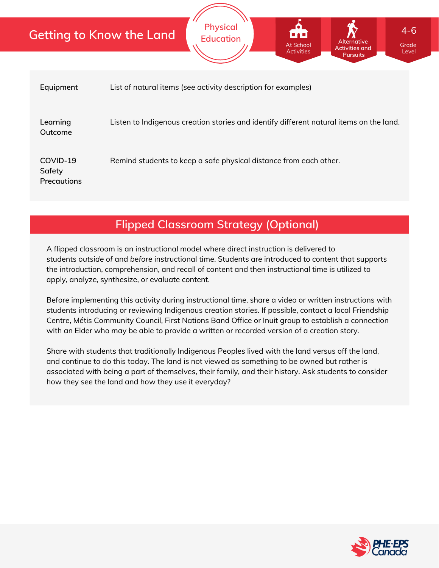|                                   | <b>Physical</b><br>$4 - 6$<br><b>Getting to Know the Land</b><br>$\begin{array}{c} \blacksquare \hspace{0.2cm} \blacksquare \hspace{0.2cm} \blacksquare \hspace{0.2cm} \blacksquare \hspace{0.2cm} \blacksquare \end{array}$<br><b>Education</b><br><b>Alternative</b><br><b>At School</b><br>Grade<br><b>Activities and</b><br><b>Activities</b><br>Level<br><b>Pursuits</b> |  |  |  |  |  |  |
|-----------------------------------|-------------------------------------------------------------------------------------------------------------------------------------------------------------------------------------------------------------------------------------------------------------------------------------------------------------------------------------------------------------------------------|--|--|--|--|--|--|
| Equipment                         | List of natural items (see activity description for examples)                                                                                                                                                                                                                                                                                                                 |  |  |  |  |  |  |
| Learning<br>Outcome               | Listen to Indigenous creation stories and identify different natural items on the land.                                                                                                                                                                                                                                                                                       |  |  |  |  |  |  |
| COVID-19<br>Safety<br>Precautions | Remind students to keep a safe physical distance from each other.                                                                                                                                                                                                                                                                                                             |  |  |  |  |  |  |

## **Flipped Classroom Strategy (Optional)**

A flipped classroom is an instructional model where direct instruction is delivered to students *outside of* and *before* instructional time. Students are introduced to content that supports the introduction, comprehension, and recall of content and then instructional time is utilized to apply, analyze, synthesize, or evaluate content.

Before implementing this activity during instructional time, share a video or written instructions with students introducing or reviewing Indigenous creation stories. If possible, contact a local Friendship Centre, Métis Community Council, First Nations Band Office or Inuit group to establish a connection with an Elder who may be able to provide a written or recorded version of a creation story.

Share with students that traditionally Indigenous Peoples lived with the land versus off the land, and continue to do this today. The land is not viewed as something to be owned but rather is associated with being a part of themselves, their family, and their history. Ask students to consider how they see the land and how they use it everyday?

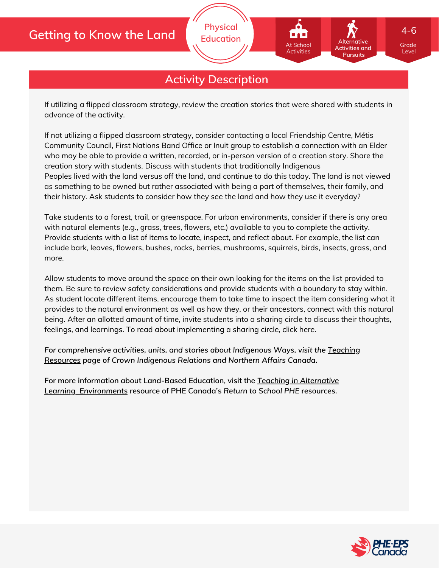## **Getting to Know the Land**

## **Activity Description**

**Physical Education**

If utilizing a flipped classroom strategy, review the creation stories that were shared with students in advance of the activity.

If not utilizing a flipped classroom strategy, consider contacting a local Friendship Centre, Métis Community Council, First Nations Band Office or Inuit group to establish a connection with an Elder who may be able to provide a written, recorded, or in-person version of a creation story. Share the creation story with students. Discuss with students that traditionally Indigenous Peoples lived with the land versus off the land, and continue to do this today. The land is not viewed as something to be owned but rather associated with being a part of themselves, their family, and their history. Ask students to consider how they see the land and how they use it everyday?

Take students to a forest, trail, or greenspace. For urban environments, consider if there is any area with natural elements (e.g., grass, trees, flowers, etc.) available to you to complete the activity. Provide students with a list of items to locate, inspect, and reflect about. For example, the list can include bark, leaves, flowers, bushes, rocks, berries, mushrooms, squirrels, birds, insects, grass, and more.

Allow students to move around the space on their own looking for the items on the list provided to them. Be sure to review safety considerations and provide students with a boundary to stay within. As student locate different items, encourage them to take time to inspect the item considering what it provides to the natural environment as well as how they, or their ancestors, connect with this natural being. After an allotted amount of time, invite students into a sharing circle to discuss their thoughts, feelings, and learnings. To read about implementing a sharing circle, click [here.](https://passthefeather.ca/sharing-circles/?v=e4b09f3f8402)

*For [comprehensive](https://www.rcaanc-cirnac.gc.ca/eng/1302868012055/1534942371387) activities, units, and stories about Indigenous Ways, visit the Teaching Resources page of Crown Indigenous Relations and Northern Affairs Canada.*

**For more information about Land-Based Education, visit the** *Teaching in Alternative Learning [Environments](https://phecanada.ca/sites/default/files/content/images/PHE%20at%20Home/Teaching%20in%20Alternative%20Learning%20Environments.pdf)* **resource of PHE Canada's** *Return to School PHE* **resources.**



Grade Level

**Alternative Activities and Pursuits**

At School **Activities** 

4-6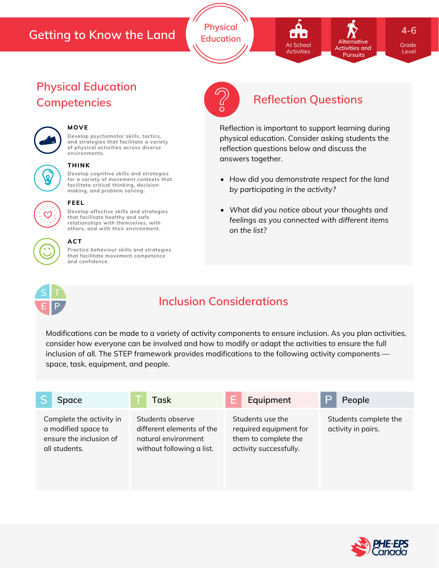## **Getting to Know the Land**

**Physical Education**

**Activities and** At School At School Activities Activities

**Pursuits** 

**Alternative**

4-6

Grade Grade Level Level

# **Physical Education**



## **MOVE**

**Develop psychomotor skills, tactics, and strategies that facilitate a variety of physical activities across diverse environments.**



#### **THINK**

**Develop cognitive skills and strategies for a variety of movement contexts that facilitate critical thinking, decision making, and problem solving.**

**Develop affective skills and strategies that facilitate healthy and safe**



#### **relationships with themselves, with others, and with their environment.**

**FEEL**

**ACT**

**Practice behaviour skills and strategies that facilitate movement competence and confidence.**



# **Competencies Reflection Questions**

Reflection is important to support learning during physical education. Consider asking students the reflection questions below and discuss the answers together.

- *How did you demonstrate respect for the land by participating in the activity?*
- *What did you notice about your thoughts and feelings as you connected with different items on the list?*



## **Inclusion Considerations**

Modifications can be made to a variety of activity components to ensure inclusion. As you plan activities, consider how everyone can be involved and how to modify or adapt the activities to ensure the full inclusion of all. The STEP framework provides modifications to the following activity components space, task, equipment, and people.

| Space                                                                                       | Task                                                                                              | E<br>Equipment                                                                               | P<br>People                                 |
|---------------------------------------------------------------------------------------------|---------------------------------------------------------------------------------------------------|----------------------------------------------------------------------------------------------|---------------------------------------------|
| Complete the activity in<br>a modified space to<br>ensure the inclusion of<br>all students. | Students observe<br>different elements of the<br>natural environment<br>without following a list. | Students use the<br>required equipment for<br>them to complete the<br>activity successfully. | Students complete the<br>activity in pairs. |